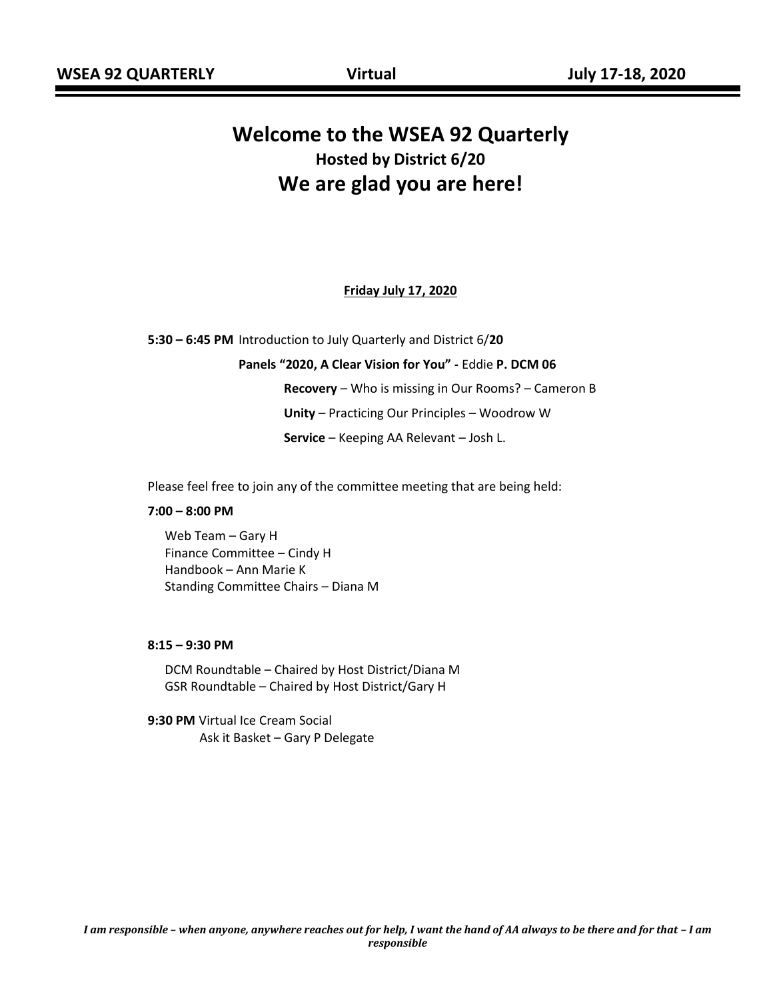# **Welcome to the WSEA 92 Quarterly Hosted by District 6/20 We are glad you are here!**

#### **Friday July 17, 2020**

**5:30 – 6:45 PM** Introduction to July Quarterly and District 6/**20**

**Panels "2020, A Clear Vision for You" -** Eddie **P. DCM 06 Recovery** – Who is missing in Our Rooms? – Cameron B **Unity** – Practicing Our Principles – Woodrow W **Service** – Keeping AA Relevant – Josh L.

Please feel free to join any of the committee meeting that are being held:

#### **7:00 – 8:00 PM**

Web Team – Gary H Finance Committee – Cindy H Handbook – Ann Marie K Standing Committee Chairs – Diana M

#### **8:15 – 9:30 PM**

DCM Roundtable – Chaired by Host District/Diana M GSR Roundtable – Chaired by Host District/Gary H

**9:30 PM** Virtual Ice Cream Social Ask it Basket – Gary P Delegate